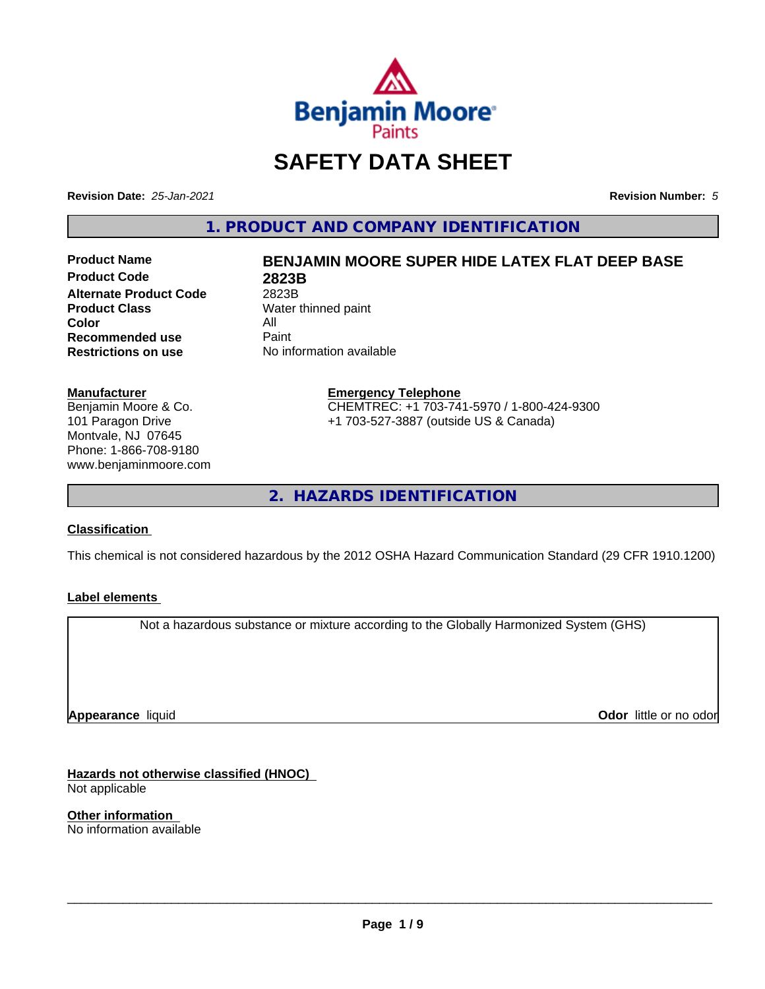

## **SAFETY DATA SHEET**

**Revision Date:** *25-Jan-2021* **Revision Number:** *5*

**1. PRODUCT AND COMPANY IDENTIFICATION**

**Product Code 2823B Alternate Product Code** 2823B<br> **Product Class** Water **Color** All<br> **Recommended use** Paint **Recommended use**<br>Restrictions on use

# **Product Name BENJAMIN MOORE SUPER HIDE LATEX FLAT DEEP BASE**

**Water thinned paint Restrictions on use** No information available

#### **Manufacturer**

Benjamin Moore & Co. 101 Paragon Drive Montvale, NJ 07645 Phone: 1-866-708-9180 www.benjaminmoore.com

#### **Emergency Telephone** CHEMTREC: +1 703-741-5970 / 1-800-424-9300 +1 703-527-3887 (outside US & Canada)

**2. HAZARDS IDENTIFICATION**

#### **Classification**

This chemical is not considered hazardous by the 2012 OSHA Hazard Communication Standard (29 CFR 1910.1200)

#### **Label elements**

Not a hazardous substance or mixture according to the Globally Harmonized System (GHS)

**Appearance** liquid

**Odor** little or no odor

**Hazards not otherwise classified (HNOC)** Not applicable

**Other information** No information available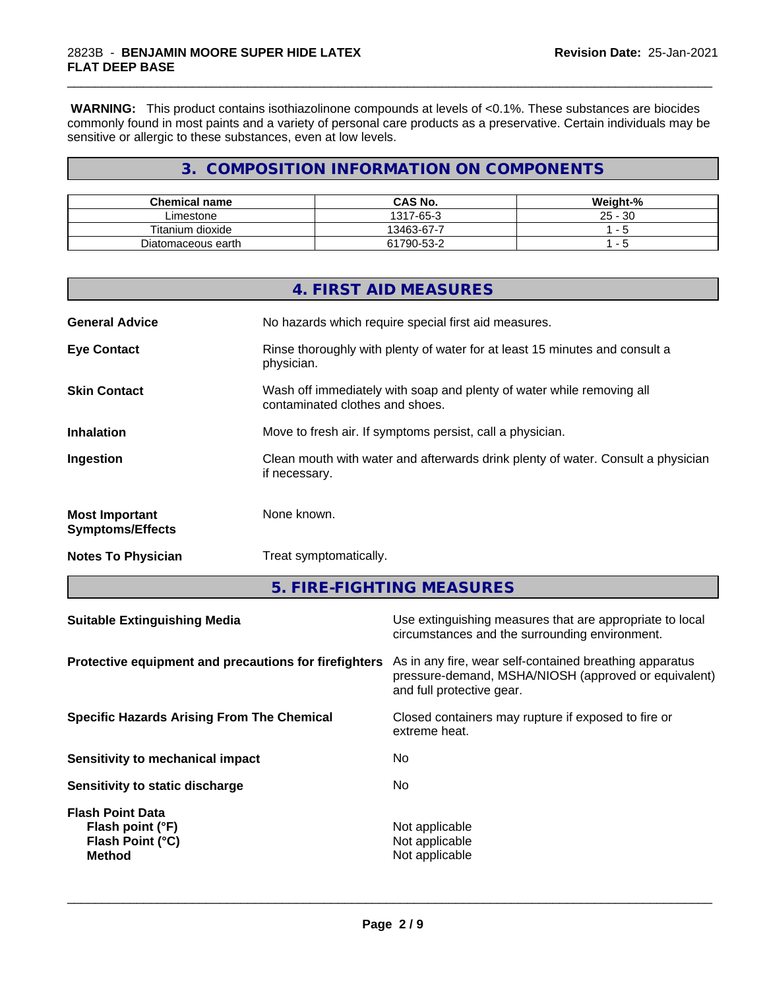#### 2823B - **BENJAMIN MOORE SUPER HIDE LATEX FLAT DEEP BASE**

 **WARNING:** This product contains isothiazolinone compounds at levels of <0.1%. These substances are biocides commonly found in most paints and a variety of personal care products as a preservative. Certain individuals may be sensitive or allergic to these substances, even at low levels.

\_\_\_\_\_\_\_\_\_\_\_\_\_\_\_\_\_\_\_\_\_\_\_\_\_\_\_\_\_\_\_\_\_\_\_\_\_\_\_\_\_\_\_\_\_\_\_\_\_\_\_\_\_\_\_\_\_\_\_\_\_\_\_\_\_\_\_\_\_\_\_\_\_\_\_\_\_\_\_\_\_\_\_\_\_\_\_\_\_\_\_\_\_

## **3. COMPOSITION INFORMATION ON COMPONENTS**

| <b>Chemical name</b> | <b>CAS No.</b> | Weight-%     |
|----------------------|----------------|--------------|
| ∟imestone            | 1317-65-3      | 30<br>$25 -$ |
| Titanium dioxide     | 13463-67-7     |              |
| Diatomaceous earth   | 61790-53-2     | ັ            |

|                                                  | 4. FIRST AID MEASURES                                                                                    |
|--------------------------------------------------|----------------------------------------------------------------------------------------------------------|
| <b>General Advice</b>                            | No hazards which require special first aid measures.                                                     |
| <b>Eye Contact</b>                               | Rinse thoroughly with plenty of water for at least 15 minutes and consult a<br>physician.                |
| <b>Skin Contact</b>                              | Wash off immediately with soap and plenty of water while removing all<br>contaminated clothes and shoes. |
| <b>Inhalation</b>                                | Move to fresh air. If symptoms persist, call a physician.                                                |
| Ingestion                                        | Clean mouth with water and afterwards drink plenty of water. Consult a physician<br>if necessary.        |
| <b>Most Important</b><br><b>Symptoms/Effects</b> | None known.                                                                                              |
| <b>Notes To Physician</b>                        | Treat symptomatically.                                                                                   |
|                                                  |                                                                                                          |

**5. FIRE-FIGHTING MEASURES**

| <b>Suitable Extinguishing Media</b>                                              | Use extinguishing measures that are appropriate to local<br>circumstances and the surrounding environment.                                   |
|----------------------------------------------------------------------------------|----------------------------------------------------------------------------------------------------------------------------------------------|
| Protective equipment and precautions for firefighters                            | As in any fire, wear self-contained breathing apparatus<br>pressure-demand, MSHA/NIOSH (approved or equivalent)<br>and full protective gear. |
| <b>Specific Hazards Arising From The Chemical</b>                                | Closed containers may rupture if exposed to fire or<br>extreme heat.                                                                         |
| Sensitivity to mechanical impact                                                 | No.                                                                                                                                          |
| Sensitivity to static discharge                                                  | No.                                                                                                                                          |
| <b>Flash Point Data</b><br>Flash point (°F)<br>Flash Point (°C)<br><b>Method</b> | Not applicable<br>Not applicable<br>Not applicable                                                                                           |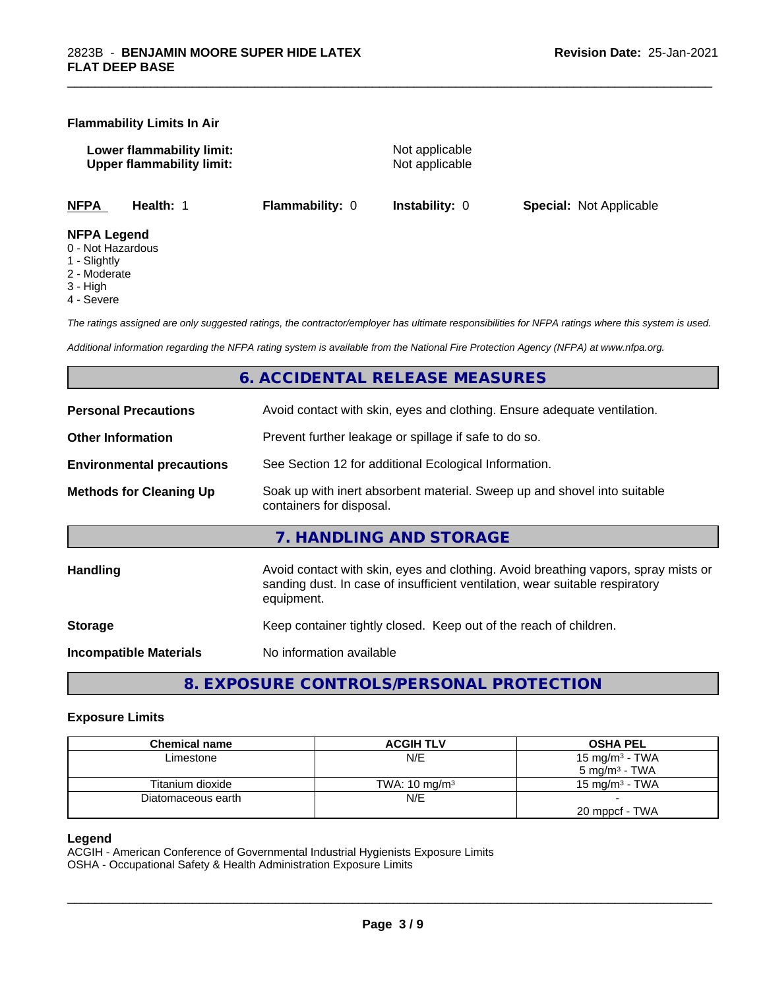#### **Flammability Limits In Air**

**Lower flammability limit:** Not applicable **Upper flammability limit:** Not applicable

\_\_\_\_\_\_\_\_\_\_\_\_\_\_\_\_\_\_\_\_\_\_\_\_\_\_\_\_\_\_\_\_\_\_\_\_\_\_\_\_\_\_\_\_\_\_\_\_\_\_\_\_\_\_\_\_\_\_\_\_\_\_\_\_\_\_\_\_\_\_\_\_\_\_\_\_\_\_\_\_\_\_\_\_\_\_\_\_\_\_\_\_\_

**NFPA Health:** 1 **Flammability:** 0 **Instability:** 0 **Special:** Not Applicable

#### **NFPA Legend**

- 0 Not Hazardous
- 1 Slightly
- 2 Moderate
- 3 High
- 4 Severe

*The ratings assigned are only suggested ratings, the contractor/employer has ultimate responsibilities for NFPA ratings where this system is used.*

*Additional information regarding the NFPA rating system is available from the National Fire Protection Agency (NFPA) at www.nfpa.org.*

#### **6. ACCIDENTAL RELEASE MEASURES**

| <b>Personal Precautions</b>      | Avoid contact with skin, eyes and clothing. Ensure adequate ventilation.                                                                                                         |
|----------------------------------|----------------------------------------------------------------------------------------------------------------------------------------------------------------------------------|
| <b>Other Information</b>         | Prevent further leakage or spillage if safe to do so.                                                                                                                            |
| <b>Environmental precautions</b> | See Section 12 for additional Ecological Information.                                                                                                                            |
| <b>Methods for Cleaning Up</b>   | Soak up with inert absorbent material. Sweep up and shovel into suitable<br>containers for disposal.                                                                             |
|                                  | 7. HANDLING AND STORAGE                                                                                                                                                          |
| Handling                         | Avoid contact with skin, eyes and clothing. Avoid breathing vapors, spray mists or<br>sanding dust. In case of insufficient ventilation, wear suitable respiratory<br>equipment. |
| <b>Storage</b>                   | Keep container tightly closed. Keep out of the reach of children.                                                                                                                |
| <b>Incompatible Materials</b>    | No information available                                                                                                                                                         |
|                                  |                                                                                                                                                                                  |

**8. EXPOSURE CONTROLS/PERSONAL PROTECTION**

#### **Exposure Limits**

| <b>Chemical name</b> | <b>ACGIH TLV</b>         | <b>OSHA PEL</b>            |
|----------------------|--------------------------|----------------------------|
| Limestone            | N/E                      | 15 mg/m <sup>3</sup> - TWA |
|                      |                          | $5 \text{ mg/m}^3$ - TWA   |
| Titanium dioxide     | TWA: $10 \text{ mg/m}^3$ | 15 mg/m $3$ - TWA          |
| Diatomaceous earth   | N/E                      |                            |
|                      |                          | 20 mppcf - TWA             |

#### **Legend**

ACGIH - American Conference of Governmental Industrial Hygienists Exposure Limits OSHA - Occupational Safety & Health Administration Exposure Limits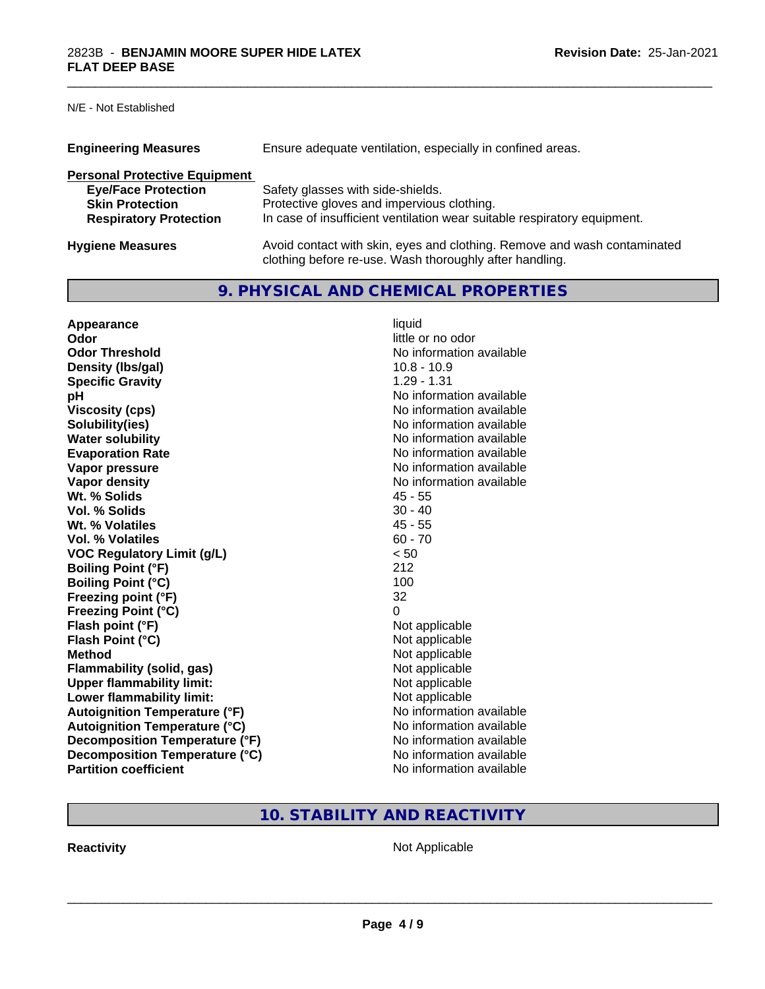N/E - Not Established

| <b>Engineering Measures</b>          | Ensure adequate ventilation, especially in confined areas.                                                                          |
|--------------------------------------|-------------------------------------------------------------------------------------------------------------------------------------|
| <b>Personal Protective Equipment</b> |                                                                                                                                     |
| <b>Eye/Face Protection</b>           | Safety glasses with side-shields.                                                                                                   |
| <b>Skin Protection</b>               | Protective gloves and impervious clothing.                                                                                          |
| <b>Respiratory Protection</b>        | In case of insufficient ventilation wear suitable respiratory equipment.                                                            |
| <b>Hygiene Measures</b>              | Avoid contact with skin, eyes and clothing. Remove and wash contaminated<br>clothing before re-use. Wash thoroughly after handling. |

\_\_\_\_\_\_\_\_\_\_\_\_\_\_\_\_\_\_\_\_\_\_\_\_\_\_\_\_\_\_\_\_\_\_\_\_\_\_\_\_\_\_\_\_\_\_\_\_\_\_\_\_\_\_\_\_\_\_\_\_\_\_\_\_\_\_\_\_\_\_\_\_\_\_\_\_\_\_\_\_\_\_\_\_\_\_\_\_\_\_\_\_\_

## **9. PHYSICAL AND CHEMICAL PROPERTIES**

| Appearance                           | liquid                   |
|--------------------------------------|--------------------------|
| Odor                                 | little or no odor        |
| <b>Odor Threshold</b>                | No information available |
| Density (Ibs/gal)                    | $10.8 - 10.9$            |
| <b>Specific Gravity</b>              | $1.29 - 1.31$            |
| рH                                   | No information available |
| <b>Viscosity (cps)</b>               | No information available |
| Solubility(ies)                      | No information available |
| <b>Water solubility</b>              | No information available |
| <b>Evaporation Rate</b>              | No information available |
| Vapor pressure                       | No information available |
| Vapor density                        | No information available |
| Wt. % Solids                         | $45 - 55$                |
| Vol. % Solids                        | $30 - 40$                |
| Wt. % Volatiles                      | $45 - 55$                |
| Vol. % Volatiles                     | $60 - 70$                |
| <b>VOC Regulatory Limit (g/L)</b>    | < 50                     |
| <b>Boiling Point (°F)</b>            | 212                      |
| <b>Boiling Point (°C)</b>            | 100                      |
| Freezing point (°F)                  | 32                       |
| <b>Freezing Point (°C)</b>           | 0                        |
| Flash point (°F)                     | Not applicable           |
| Flash Point (°C)                     | Not applicable           |
| <b>Method</b>                        | Not applicable           |
| Flammability (solid, gas)            | Not applicable           |
| <b>Upper flammability limit:</b>     | Not applicable           |
| Lower flammability limit:            | Not applicable           |
| <b>Autoignition Temperature (°F)</b> | No information available |
| <b>Autoignition Temperature (°C)</b> | No information available |
| Decomposition Temperature (°F)       | No information available |
| Decomposition Temperature (°C)       | No information available |
| <b>Partition coefficient</b>         | No information available |

## **10. STABILITY AND REACTIVITY**

**Reactivity Not Applicable** Not Applicable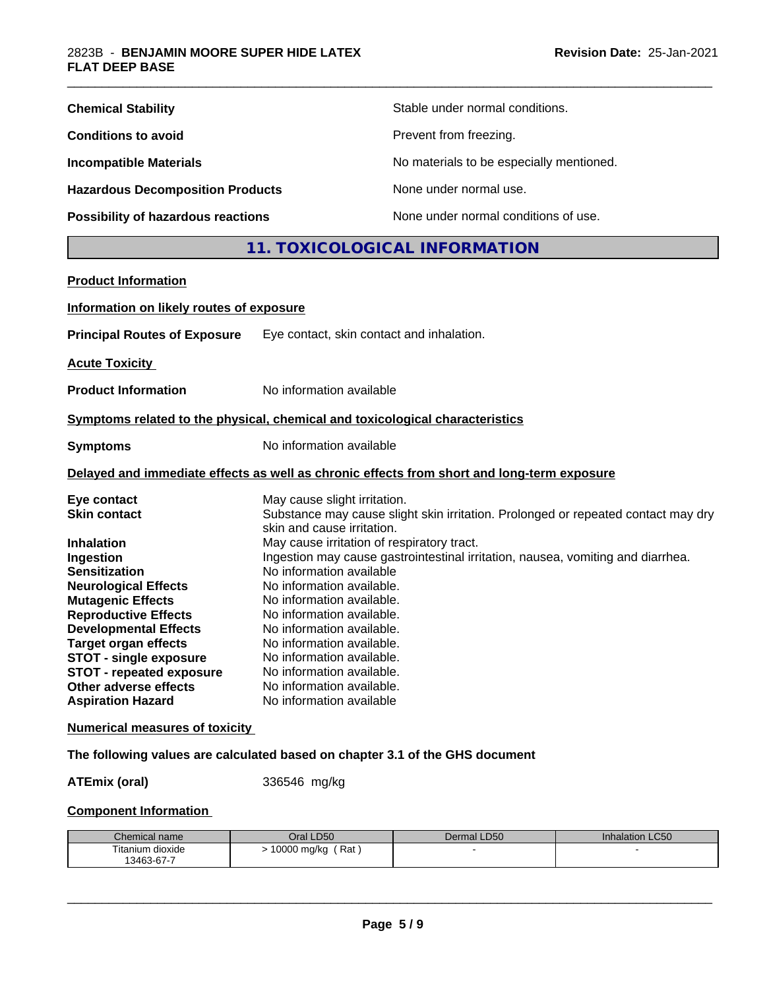| <b>Chemical Stability</b>               | Stable under normal conditions.          |
|-----------------------------------------|------------------------------------------|
| <b>Conditions to avoid</b>              | Prevent from freezing.                   |
| <b>Incompatible Materials</b>           | No materials to be especially mentioned. |
| <b>Hazardous Decomposition Products</b> | None under normal use.                   |
| Possibility of hazardous reactions      | None under normal conditions of use.     |

## **11. TOXICOLOGICAL INFORMATION**

\_\_\_\_\_\_\_\_\_\_\_\_\_\_\_\_\_\_\_\_\_\_\_\_\_\_\_\_\_\_\_\_\_\_\_\_\_\_\_\_\_\_\_\_\_\_\_\_\_\_\_\_\_\_\_\_\_\_\_\_\_\_\_\_\_\_\_\_\_\_\_\_\_\_\_\_\_\_\_\_\_\_\_\_\_\_\_\_\_\_\_\_\_

| <b>Product Information</b>               |                                                                                                                 |
|------------------------------------------|-----------------------------------------------------------------------------------------------------------------|
| Information on likely routes of exposure |                                                                                                                 |
| <b>Principal Routes of Exposure</b>      | Eye contact, skin contact and inhalation.                                                                       |
| <b>Acute Toxicity</b>                    |                                                                                                                 |
| <b>Product Information</b>               | No information available                                                                                        |
|                                          | Symptoms related to the physical, chemical and toxicological characteristics                                    |
| <b>Symptoms</b>                          | No information available                                                                                        |
|                                          | Delayed and immediate effects as well as chronic effects from short and long-term exposure                      |
| Eye contact                              | May cause slight irritation.                                                                                    |
| <b>Skin contact</b>                      | Substance may cause slight skin irritation. Prolonged or repeated contact may dry<br>skin and cause irritation. |
| <b>Inhalation</b>                        | May cause irritation of respiratory tract.                                                                      |
| Ingestion                                | Ingestion may cause gastrointestinal irritation, nausea, vomiting and diarrhea.                                 |
| <b>Sensitization</b>                     | No information available                                                                                        |
| <b>Neurological Effects</b>              | No information available.                                                                                       |
| <b>Mutagenic Effects</b>                 | No information available.                                                                                       |
| <b>Reproductive Effects</b>              | No information available.                                                                                       |
| <b>Developmental Effects</b>             | No information available.                                                                                       |
| <b>Target organ effects</b>              | No information available.                                                                                       |
| <b>STOT - single exposure</b>            | No information available.                                                                                       |
| <b>STOT - repeated exposure</b>          | No information available.                                                                                       |
| Other adverse effects                    | No information available.                                                                                       |
| <b>Aspiration Hazard</b>                 | No information available                                                                                        |
| <b>Numerical measures of toxicity</b>    |                                                                                                                 |

## **The following values are calculated based on chapter 3.1 of the GHS document**

**ATEmix (oral)** 336546 mg/kg

#### **Component Information**

| Chemical name    | Oral LD50          | Dermal LD50 | <b>Inhalation LC50</b> |
|------------------|--------------------|-------------|------------------------|
| Titanium dioxide | Rat<br>10000 mg/kg |             |                        |
| 13463-67-7       |                    |             |                        |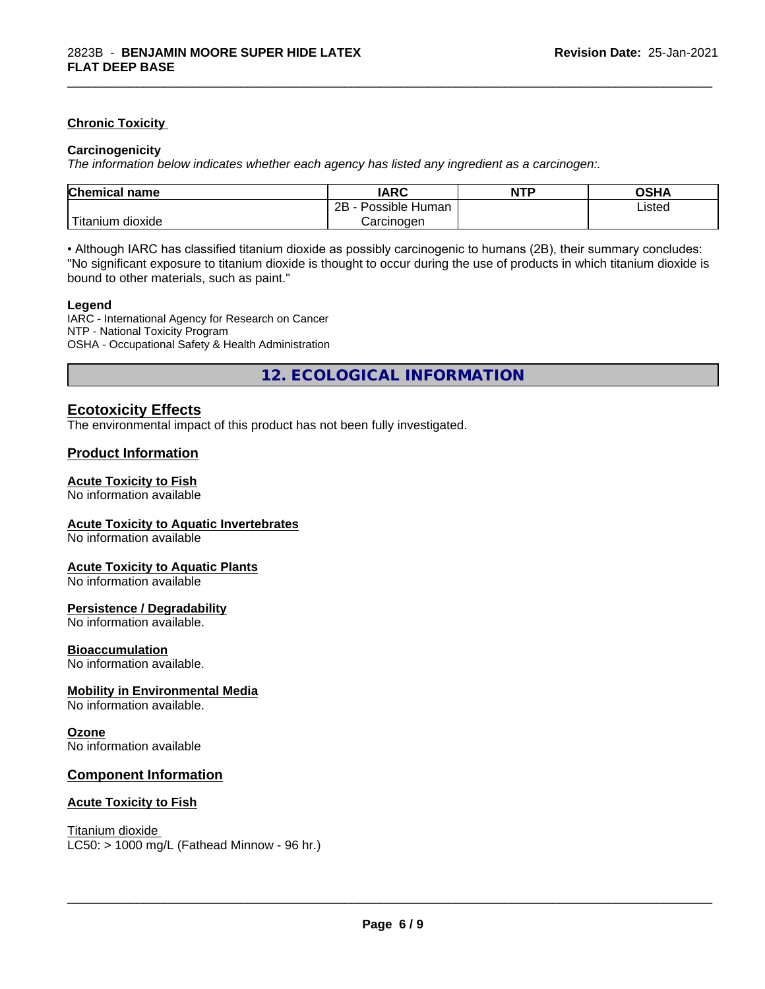#### **Chronic Toxicity**

#### **Carcinogenicity**

*The information below indicateswhether each agency has listed any ingredient as a carcinogen:.*

| <b>Chemical name</b>              | <b>IARC</b>                    | <b>NTP</b> | OSHA   |  |
|-----------------------------------|--------------------------------|------------|--------|--|
|                                   | . .<br>2B<br>Possible<br>Human |            | Listed |  |
| $-1$<br>dioxide<br><b>itanium</b> | Carcinogen                     |            |        |  |

\_\_\_\_\_\_\_\_\_\_\_\_\_\_\_\_\_\_\_\_\_\_\_\_\_\_\_\_\_\_\_\_\_\_\_\_\_\_\_\_\_\_\_\_\_\_\_\_\_\_\_\_\_\_\_\_\_\_\_\_\_\_\_\_\_\_\_\_\_\_\_\_\_\_\_\_\_\_\_\_\_\_\_\_\_\_\_\_\_\_\_\_\_

• Although IARC has classified titanium dioxide as possibly carcinogenic to humans (2B), their summary concludes: "No significant exposure to titanium dioxide is thought to occur during the use of products in which titanium dioxide is bound to other materials, such as paint."

#### **Legend**

IARC - International Agency for Research on Cancer NTP - National Toxicity Program OSHA - Occupational Safety & Health Administration

**12. ECOLOGICAL INFORMATION**

#### **Ecotoxicity Effects**

The environmental impact of this product has not been fully investigated.

#### **Product Information**

#### **Acute Toxicity to Fish**

No information available

#### **Acute Toxicity to Aquatic Invertebrates**

No information available

#### **Acute Toxicity to Aquatic Plants**

No information available

#### **Persistence / Degradability**

No information available.

#### **Bioaccumulation**

No information available.

#### **Mobility in Environmental Media**

No information available.

#### **Ozone**

No information available

#### **Component Information**

#### **Acute Toxicity to Fish**

Titanium dioxide  $LC50:$  > 1000 mg/L (Fathead Minnow - 96 hr.)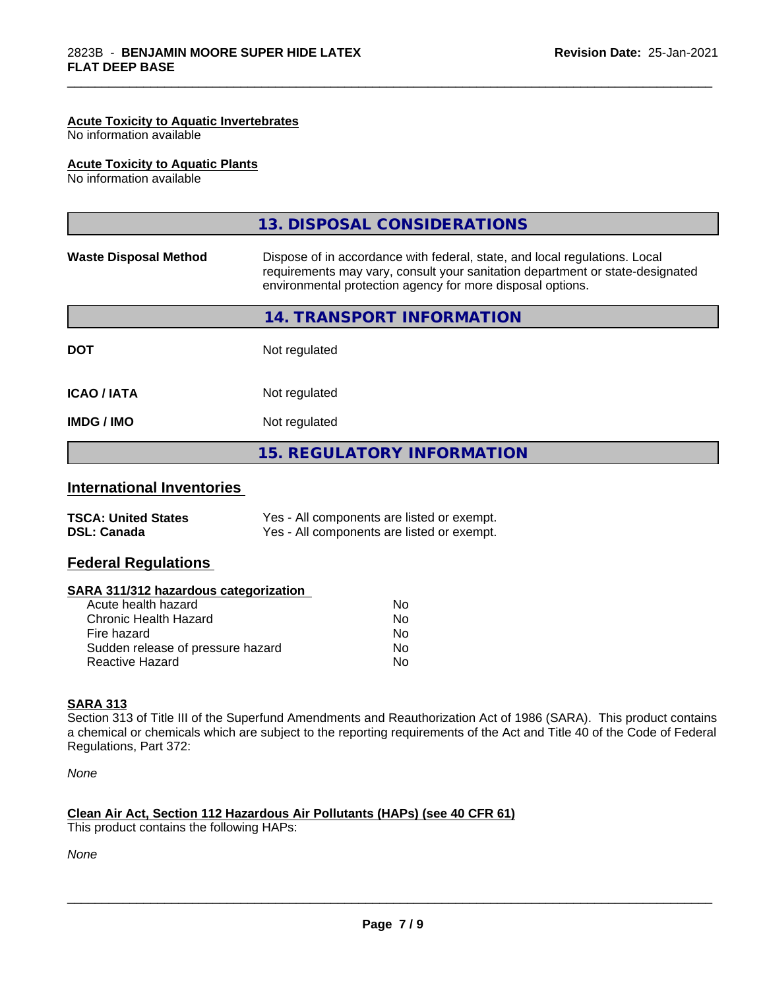#### **Acute Toxicity to Aquatic Invertebrates**

No information available

#### **Acute Toxicity to Aquatic Plants**

No information available

|                              | 13. DISPOSAL CONSIDERATIONS                                                                                                                                                                                               |
|------------------------------|---------------------------------------------------------------------------------------------------------------------------------------------------------------------------------------------------------------------------|
| <b>Waste Disposal Method</b> | Dispose of in accordance with federal, state, and local regulations. Local<br>requirements may vary, consult your sanitation department or state-designated<br>environmental protection agency for more disposal options. |
|                              | 14. TRANSPORT INFORMATION                                                                                                                                                                                                 |
| <b>DOT</b>                   | Not regulated                                                                                                                                                                                                             |
| <b>ICAO / IATA</b>           | Not regulated                                                                                                                                                                                                             |
| <b>IMDG/IMO</b>              | Not regulated                                                                                                                                                                                                             |
|                              | <b>15. REGULATORY INFORMATION</b>                                                                                                                                                                                         |
|                              |                                                                                                                                                                                                                           |

\_\_\_\_\_\_\_\_\_\_\_\_\_\_\_\_\_\_\_\_\_\_\_\_\_\_\_\_\_\_\_\_\_\_\_\_\_\_\_\_\_\_\_\_\_\_\_\_\_\_\_\_\_\_\_\_\_\_\_\_\_\_\_\_\_\_\_\_\_\_\_\_\_\_\_\_\_\_\_\_\_\_\_\_\_\_\_\_\_\_\_\_\_

#### **International Inventories**

| <b>TSCA: United States</b> | Yes - All components are listed or exempt. |
|----------------------------|--------------------------------------------|
| <b>DSL: Canada</b>         | Yes - All components are listed or exempt. |

#### **Federal Regulations**

| SARA 311/312 hazardous categorization |  |
|---------------------------------------|--|
|---------------------------------------|--|

| Acute health hazard               | No |
|-----------------------------------|----|
| Chronic Health Hazard             | Nο |
| Fire hazard                       | N٥ |
| Sudden release of pressure hazard | Nο |
| Reactive Hazard                   | N٥ |

#### **SARA 313**

Section 313 of Title III of the Superfund Amendments and Reauthorization Act of 1986 (SARA). This product contains a chemical or chemicals which are subject to the reporting requirements of the Act and Title 40 of the Code of Federal Regulations, Part 372:

*None*

## **Clean Air Act,Section 112 Hazardous Air Pollutants (HAPs) (see 40 CFR 61)**

This product contains the following HAPs:

*None*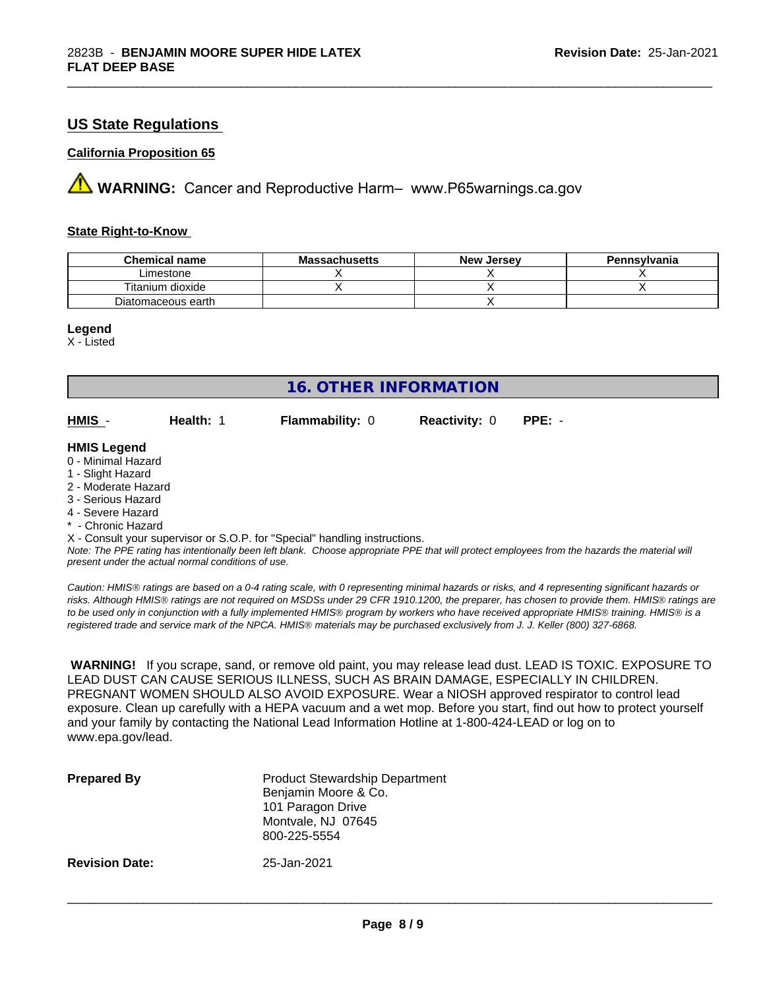## **US State Regulations**

#### **California Proposition 65**

**A** WARNING: Cancer and Reproductive Harm– www.P65warnings.ca.gov

#### **State Right-to-Know**

| <b>Chemical name</b> | <b>Massachusetts</b> | <b>New</b><br>. Jersev | Pennsylvania |
|----------------------|----------------------|------------------------|--------------|
| Limestone            |                      |                        |              |
| Titanium dioxide     |                      |                        |              |
| Diatomaceous earth   |                      |                        |              |

\_\_\_\_\_\_\_\_\_\_\_\_\_\_\_\_\_\_\_\_\_\_\_\_\_\_\_\_\_\_\_\_\_\_\_\_\_\_\_\_\_\_\_\_\_\_\_\_\_\_\_\_\_\_\_\_\_\_\_\_\_\_\_\_\_\_\_\_\_\_\_\_\_\_\_\_\_\_\_\_\_\_\_\_\_\_\_\_\_\_\_\_\_

#### **Legend**

X - Listed

| <b>16. OTHER INFORMATION</b>                                                                                                                          |           |                        |                      |          |  |
|-------------------------------------------------------------------------------------------------------------------------------------------------------|-----------|------------------------|----------------------|----------|--|
| HMIS -                                                                                                                                                | Health: 1 | <b>Flammability: 0</b> | <b>Reactivity: 0</b> | $PPE: -$ |  |
| <b>HMIS Legend</b><br>0 - Minimal Hazard<br>1 - Slight Hazard<br>2 - Moderate Hazard<br>3 - Serious Hazard<br>4 - Severe Hazard<br>* - Chronic Hazard |           |                        |                      |          |  |

X - Consult your supervisor or S.O.P. for "Special" handling instructions.

*Note: The PPE rating has intentionally been left blank. Choose appropriate PPE that will protect employees from the hazards the material will present under the actual normal conditions of use.*

*Caution: HMISÒ ratings are based on a 0-4 rating scale, with 0 representing minimal hazards or risks, and 4 representing significant hazards or risks. Although HMISÒ ratings are not required on MSDSs under 29 CFR 1910.1200, the preparer, has chosen to provide them. HMISÒ ratings are to be used only in conjunction with a fully implemented HMISÒ program by workers who have received appropriate HMISÒ training. HMISÒ is a registered trade and service mark of the NPCA. HMISÒ materials may be purchased exclusively from J. J. Keller (800) 327-6868.*

 **WARNING!** If you scrape, sand, or remove old paint, you may release lead dust. LEAD IS TOXIC. EXPOSURE TO LEAD DUST CAN CAUSE SERIOUS ILLNESS, SUCH AS BRAIN DAMAGE, ESPECIALLY IN CHILDREN. PREGNANT WOMEN SHOULD ALSO AVOID EXPOSURE. Wear a NIOSH approved respirator to control lead exposure. Clean up carefully with a HEPA vacuum and a wet mop. Before you start, find out how to protect yourself and your family by contacting the National Lead Information Hotline at 1-800-424-LEAD or log on to www.epa.gov/lead.

| <b>Prepared By</b>    | <b>Product Stewardship Department</b><br>Benjamin Moore & Co.<br>101 Paragon Drive<br>Montvale, NJ 07645<br>800-225-5554 |
|-----------------------|--------------------------------------------------------------------------------------------------------------------------|
| <b>Revision Date:</b> | 25-Jan-2021                                                                                                              |